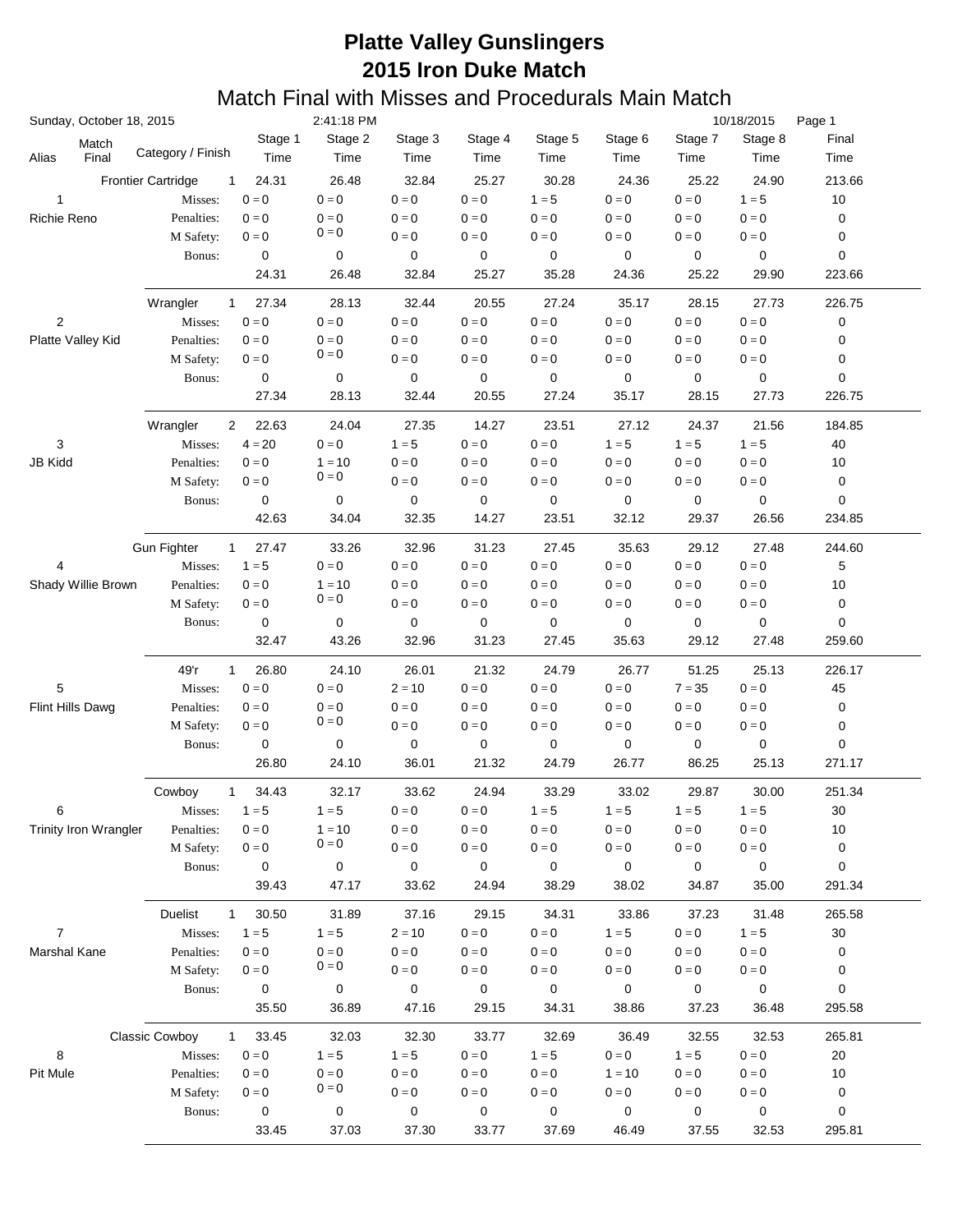|                   | Sunday, October 18, 2015     |                                       |                           | 2:41:18 PM              |                         |                         |                 |                         |                         | 10/18/2015<br>Page 1      |                  |  |  |
|-------------------|------------------------------|---------------------------------------|---------------------------|-------------------------|-------------------------|-------------------------|-----------------|-------------------------|-------------------------|---------------------------|------------------|--|--|
| Alias             | Match<br>Final               | Category / Finish                     | Stage 1<br>Time           | Stage 2<br>Time         | Stage 3<br>Time         | Stage 4<br>Time         | Stage 5<br>Time | Stage 6<br>Time         | Stage 7<br>Time         | Stage 8<br>Time           | Final<br>Time    |  |  |
|                   |                              | <b>Frontier Cartridge</b><br>1        | 24.31                     | 26.48                   | 32.84                   | 25.27                   | 30.28           | 24.36                   | 25.22                   | 24.90                     | 213.66           |  |  |
| $\mathbf 1$       |                              | Misses:                               | $0 = 0$                   | $0 = 0$                 | $0 = 0$                 | $0 = 0$                 | $1 = 5$         | $0 = 0$                 | $0 = 0$                 | $1 = 5$                   | 10               |  |  |
| Richie Reno       |                              | Penalties:                            | $0 = 0$                   | $0 = 0$                 | $0 = 0$                 | $0 = 0$                 | $0=0$           | $0=0$                   | $0 = 0$                 | $0 = 0$                   | 0                |  |  |
|                   |                              | M Safety:                             | $0=0$                     | $0 = 0$                 | $0=0$                   | $0 = 0$                 | $0 = 0$         | $0=0$                   | $0 = 0$                 | $0 = 0$                   | 0                |  |  |
|                   |                              | Bonus:                                | 0                         | 0                       | 0                       | 0                       | 0               | 0                       | 0                       | $\mathbf 0$               | 0                |  |  |
|                   |                              |                                       | 24.31                     | 26.48                   | 32.84                   | 25.27                   | 35.28           | 24.36                   | 25.22                   | 29.90                     | 223.66           |  |  |
|                   |                              | Wrangler<br>$\mathbf{1}$              | 27.34                     | 28.13                   | 32.44                   | 20.55                   | 27.24           | 35.17                   | 28.15                   | 27.73                     | 226.75           |  |  |
| $\overline{2}$    |                              | Misses:                               | $0 = 0$                   | $0 = 0$                 | $0 = 0$                 | $0 = 0$                 | $0 = 0$         | $0=0$                   | $0 = 0$                 | $0 = 0$                   | 0                |  |  |
| Platte Valley Kid |                              | Penalties:                            | $0 = 0$                   | $0 = 0$<br>$0 = 0$      | $0 = 0$                 | $0 = 0$                 | $0 = 0$         | $0 = 0$                 | $0 = 0$                 | $0 = 0$                   | 0                |  |  |
|                   |                              | M Safety:                             | $0=0$                     |                         | $0 = 0$                 | $0 = 0$                 | $0 = 0$         | $0 = 0$                 | $0 = 0$                 | $0 = 0$                   | 0                |  |  |
|                   |                              | Bonus:                                | $\mathbf 0$               | 0                       | 0                       | 0                       | 0               | 0                       | 0                       | $\pmb{0}$                 | 0                |  |  |
|                   |                              |                                       | 27.34                     | 28.13                   | 32.44                   | 20.55                   | 27.24           | 35.17                   | 28.15                   | 27.73                     | 226.75           |  |  |
|                   |                              | Wrangler<br>$\overline{2}$            | 22.63                     | 24.04                   | 27.35                   | 14.27                   | 23.51           | 27.12                   | 24.37                   | 21.56                     | 184.85           |  |  |
| 3                 |                              | Misses:                               | $4 = 20$                  | $0 = 0$                 | $1 = 5$                 | $0 = 0$                 | $0=0$           | $1 = 5$                 | $1 = 5$                 | $1 = 5$                   | 40               |  |  |
| <b>JB Kidd</b>    |                              | Penalties:                            | $0 = 0$                   | $1 = 10$                | $0=0$                   | $0 = 0$                 | $0 = 0$         | $0 = 0$                 | $0 = 0$                 | $0 = 0$                   | 10               |  |  |
|                   |                              | M Safety:                             | $\mathbf{0} = \mathbf{0}$ | $0 = 0$                 | $0=0$                   | $0=0$                   | $0=0$           | $0 = 0$                 | $0 = 0$                 | $\mathbf{0} = \mathbf{0}$ | 0                |  |  |
|                   |                              | Bonus:                                | 0                         | 0                       | 0                       | 0                       | 0               | 0                       | 0                       | 0                         | 0                |  |  |
|                   |                              |                                       | 42.63                     | 34.04                   | 32.35                   | 14.27                   | 23.51           | 32.12                   | 29.37                   | 26.56                     | 234.85           |  |  |
|                   |                              | <b>Gun Fighter</b><br>$\mathbf{1}$    | 27.47                     | 33.26                   | 32.96                   | 31.23                   | 27.45           | 35.63                   | 29.12                   | 27.48                     | 244.60           |  |  |
| 4                 |                              | Misses:                               | $1 = 5$                   | $0 = 0$                 | $0 = 0$                 | $0 = 0$                 | $0=0$           | $0 = 0$                 | $0 = 0$                 | $0 = 0$                   | 5                |  |  |
|                   | Shady Willie Brown           | Penalties:                            | $0 = 0$                   | $1 = 10$                | $0 = 0$                 | $0 = 0$                 | $0=0$           | $0 = 0$                 | $0 = 0$                 | $0 = 0$                   | 10               |  |  |
|                   |                              | M Safety:                             | $\mathbf{0} = \mathbf{0}$ | $0 = 0$                 | $0 = 0$                 | $0 = 0$                 | $0 = 0$         | $0 = 0$                 | $0 = 0$                 | $\mathbf{0}=\mathbf{0}$   | 0                |  |  |
|                   |                              | Bonus:                                | 0                         | 0                       | 0                       | 0                       | 0               | 0                       | 0                       | 0                         | 0                |  |  |
|                   |                              |                                       | 32.47                     | 43.26                   | 32.96                   | 31.23                   | 27.45           | 35.63                   | 29.12                   | 27.48                     | 259.60           |  |  |
|                   |                              | 49'r<br>$\mathbf{1}$                  | 26.80                     | 24.10                   | 26.01                   | 21.32                   | 24.79           | 26.77                   | 51.25                   | 25.13                     | 226.17           |  |  |
| 5                 |                              | Misses:                               | $0 = 0$                   | $0 = 0$                 | $2 = 10$                | $0 = 0$                 | $0 = 0$         | $0 = 0$                 | $7 = 35$                | $0 = 0$                   | 45               |  |  |
| Flint Hills Dawg  |                              | Penalties:                            | $0 = 0$                   | $0 = 0$                 | $0 = 0$                 | $0 = 0$                 | $0 = 0$         | $0 = 0$                 | $0 = 0$                 | $0 = 0$                   | 0                |  |  |
|                   |                              | M Safety:                             | $0 = 0$                   | $0 = 0$                 | $0 = 0$                 | $0=0$                   | $0 = 0$         | $0 = 0$                 | $0 = 0$                 | $0 = 0$                   | 0                |  |  |
|                   |                              | Bonus:                                | 0                         | 0                       | 0                       | 0                       | 0               | 0                       | 0                       | 0                         | 0                |  |  |
|                   |                              |                                       | 26.80                     | 24.10                   | 36.01                   | 21.32                   | 24.79           | 26.77                   | 86.25                   | 25.13                     | 271.17           |  |  |
|                   |                              | Cowboy<br>$\mathbf 1$                 | 34.43                     | 32.17                   | 33.62                   | 24.94                   | 33.29           | 33.02                   | 29.87                   | 30.00                     | 251.34           |  |  |
| 6                 |                              | Misses:                               | $1 = 5$                   | $1 = 5$                 | $\mathbf{0}=\mathbf{0}$ | $\mathbf{0}=\mathbf{0}$ | $1=5$           | $1 = 5$                 | $1 = 5$                 | $1 = 5$                   | 30               |  |  |
|                   | <b>Trinity Iron Wrangler</b> | Penalties:                            | $0 = 0$                   | $1 = 10$                | $0 = 0$                 | $0 = 0$                 | $0 = 0$         | $0 = 0$                 | $0 = 0$                 | $0 = 0$                   | $10$             |  |  |
|                   |                              | M Safety:                             | $0 = 0$                   | $0 = 0$                 | $0 = 0$                 | $0 = 0$                 | $0 = 0$         | $0 = 0$                 | $0 = 0$                 | $\mathbf{0}=\mathbf{0}$   | $\boldsymbol{0}$ |  |  |
|                   |                              | Bonus:                                | $\pmb{0}$                 | $\pmb{0}$               | 0                       | 0                       | 0               | 0                       | 0                       | $\pmb{0}$                 | $\pmb{0}$        |  |  |
|                   |                              |                                       | 39.43                     | 47.17                   | 33.62                   | 24.94                   | 38.29           | 38.02                   | 34.87                   | 35.00                     | 291.34           |  |  |
|                   |                              | Duelist<br>$\mathbf{1}$               | 30.50                     | 31.89                   | 37.16                   | 29.15                   | 34.31           | 33.86                   | 37.23                   | 31.48                     | 265.58           |  |  |
| $\overline{7}$    |                              | Misses:                               | $1 = 5$                   | $1 = 5$                 | $2 = 10$                | $\mathbf{0}=\mathbf{0}$ | $0=0$           | $1 = 5$                 | $\mathbf{0}=\mathbf{0}$ | $1 = 5$                   | 30               |  |  |
| Marshal Kane      |                              | Penalties:                            | $0 = 0$                   | $0 = 0$                 | $0 = 0$                 | $0 = 0$                 | $0 = 0$         | $0 = 0$                 | $0 = 0$                 | $0 = 0$                   | 0                |  |  |
|                   |                              | M Safety:                             | $0 = 0$                   | $0 = 0$                 | $0 = 0$                 | $0 = 0$                 | $0 = 0$         | $0 = 0$                 | $0 = 0$                 | $\mathbf{0}=\mathbf{0}$   | 0                |  |  |
|                   |                              | Bonus:                                | 0                         | 0                       | 0                       | 0                       | 0               | 0                       | 0                       | 0                         | 0                |  |  |
|                   |                              |                                       | 35.50                     | 36.89                   | 47.16                   | 29.15                   | 34.31           | 38.86                   | 37.23                   | 36.48                     | 295.58           |  |  |
|                   |                              | <b>Classic Cowboy</b><br>$\mathbf{1}$ | 33.45                     | 32.03                   | 32.30                   | 33.77                   | 32.69           | 36.49                   | 32.55                   | 32.53                     | 265.81           |  |  |
| 8                 |                              | Misses:                               | $\mathbf{0}=\mathbf{0}$   | $1 = 5$                 | $1 = 5$                 | $\mathbf{0}=\mathbf{0}$ | $1 = 5$         | $\mathbf{0}=\mathbf{0}$ | $1 = 5$                 | $\mathbf{0} = \mathbf{0}$ | 20               |  |  |
| Pit Mule          |                              | Penalties:                            | $0 = 0$                   | $\mathbf{0}=\mathbf{0}$ | $\mathbf{0}=\mathbf{0}$ | $0 = 0$                 | $0 = 0$         | $1 = 10$                | $0 = 0$                 | $0 = 0$                   | 10               |  |  |
|                   |                              | M Safety:                             | $0 = 0$                   | $0 = 0$                 | $0 = 0$                 | $0 = 0$                 | $0 = 0$         | $0 = 0$                 | $0 = 0$                 | $\mathbf{0}=\mathbf{0}$   | 0                |  |  |
|                   |                              | Bonus:                                | $\pmb{0}$                 | $\pmb{0}$               | 0                       | $\pmb{0}$               | 0               | 0                       | 0                       | 0                         | 0                |  |  |
|                   |                              |                                       | 33.45                     | 37.03                   | 37.30                   | 33.77                   | 37.69           | 46.49                   | 37.55                   | 32.53                     | 295.81           |  |  |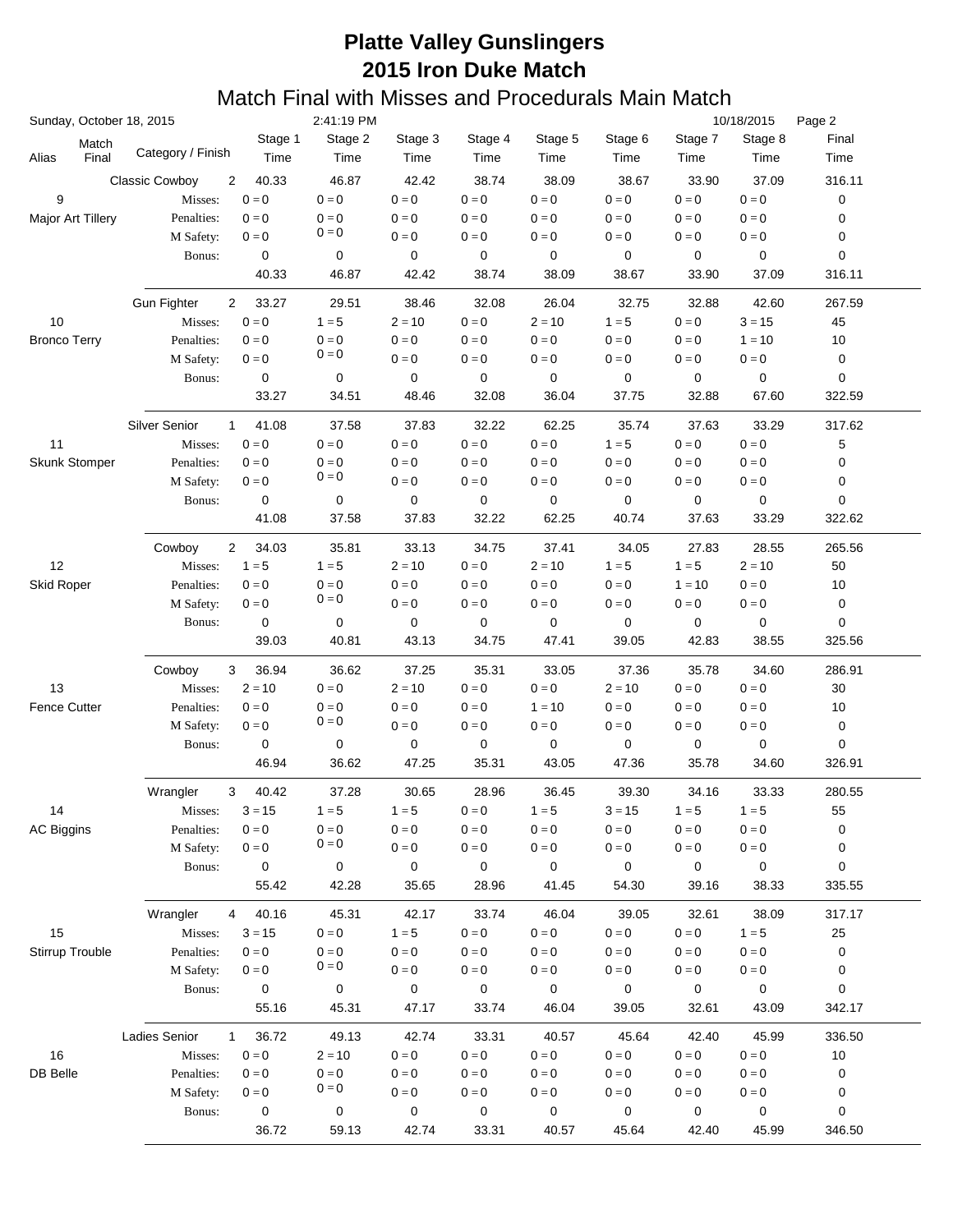|                     |                | Sunday, October 18, 2015             |                         | 2:41:19 PM              |                         |                           |                           |                         | 10/18/2015<br>Page 2    |                           |               |
|---------------------|----------------|--------------------------------------|-------------------------|-------------------------|-------------------------|---------------------------|---------------------------|-------------------------|-------------------------|---------------------------|---------------|
| Alias               | Match<br>Final | Category / Finish                    | Stage 1<br>Time         | Stage 2<br>Time         | Stage 3<br>Time         | Stage 4<br>Time           | Stage 5<br>Time           | Stage 6<br>Time         | Stage 7<br>Time         | Stage 8<br>Time           | Final<br>Time |
|                     |                | <b>Classic Cowboy</b><br>2           | 40.33                   | 46.87                   | 42.42                   | 38.74                     | 38.09                     | 38.67                   | 33.90                   | 37.09                     | 316.11        |
| 9                   |                | Misses:                              | $0=0$                   | $0 = 0$                 | $0 = 0$                 | $0 = 0$                   | $0 = 0$                   | $0 = 0$                 | $0 = 0$                 | $0 = 0$                   | 0             |
| Major Art Tillery   |                | Penalties:                           | $0 = 0$                 | $0 = 0$                 | $0 = 0$                 | $0 = 0$                   | $0 = 0$                   | $0 = 0$                 | $0 = 0$                 | $0 = 0$                   | 0             |
|                     |                | M Safety:                            | $0=0$                   | $0 = 0$                 | $0=0$                   | $0 = 0$                   | $0 = 0$                   | $0=0$                   | $0 = 0$                 | $0 = 0$                   | 0             |
|                     |                | Bonus:                               | 0                       | 0                       | 0                       | 0                         | 0                         | 0                       | 0                       | $\mathbf 0$               | 0             |
|                     |                |                                      | 40.33                   | 46.87                   | 42.42                   | 38.74                     | 38.09                     | 38.67                   | 33.90                   | 37.09                     | 316.11        |
|                     |                |                                      |                         |                         |                         |                           |                           |                         |                         |                           |               |
|                     |                | <b>Gun Fighter</b><br>$\overline{2}$ | 33.27                   | 29.51                   | 38.46                   | 32.08                     | 26.04                     | 32.75                   | 32.88                   | 42.60                     | 267.59        |
| 10                  |                | Misses:                              | $\mathbf{0}=\mathbf{0}$ | $1 = 5$                 | $2 = 10$                | $0 = 0$                   | $2 = 10$                  | $1 = 5$                 | $0 = 0$                 | $3 = 15$                  | 45            |
| <b>Bronco Terry</b> |                | Penalties:                           | $0 = 0$                 | $0 = 0$                 | $0 = 0$                 | $0 = 0$                   | $0=0$                     | $0 = 0$                 | $0 = 0$                 | $1 = 10$                  | 10            |
|                     |                | M Safety:                            | $0=0$                   | $0 = 0$                 | $0 = 0$                 | $0 = 0$                   | $0 = 0$                   | $0 = 0$                 | $0 = 0$                 | $\mathbf{0}=\mathbf{0}$   | 0             |
|                     |                | Bonus:                               | $\mathbf 0$             | 0                       | 0                       | 0                         | 0                         | 0                       | 0                       | $\pmb{0}$                 | 0             |
|                     |                |                                      | 33.27                   | 34.51                   | 48.46                   | 32.08                     | 36.04                     | 37.75                   | 32.88                   | 67.60                     | 322.59        |
|                     |                | Silver Senior<br>$\mathbf{1}$        | 41.08                   | 37.58                   | 37.83                   | 32.22                     | 62.25                     | 35.74                   | 37.63                   | 33.29                     | 317.62        |
| 11                  |                | Misses:                              | $0=0$                   | $0 = 0$                 | $0=0$                   | $0 = 0$                   | $0 = 0$                   | $1 = 5$                 | $0 = 0$                 | $0 = 0$                   | 5             |
| Skunk Stomper       |                | Penalties:                           | $0 = 0$                 | $0 = 0$                 | $0 = 0$                 | $0 = 0$                   | $0 = 0$                   | $0 = 0$                 | $0 = 0$                 | $0 = 0$                   | 0             |
|                     |                | M Safety:                            | $\mathbf{0}=\mathbf{0}$ | $0 = 0$                 | $0=0$                   | $0 = 0$                   | $0=0$                     | $0 = 0$                 | $0 = 0$                 | $\mathbf{0} = \mathbf{0}$ | 0             |
|                     |                | Bonus:                               | 0                       | 0                       | 0                       | 0                         | 0                         | 0                       | 0                       | 0                         | 0             |
|                     |                |                                      | 41.08                   | 37.58                   | 37.83                   | 32.22                     | 62.25                     | 40.74                   | 37.63                   | 33.29                     | 322.62        |
|                     |                | Cowboy<br>$\overline{2}$             | 34.03                   | 35.81                   | 33.13                   | 34.75                     | 37.41                     | 34.05                   | 27.83                   | 28.55                     | 265.56        |
| 12                  |                | Misses:                              | $1 = 5$                 | $1 = 5$                 | $2 = 10$                | $0 = 0$                   | $2 = 10$                  | $1 = 5$                 | $1 = 5$                 | $2 = 10$                  | 50            |
| Skid Roper          |                | Penalties:                           | $0 = 0$                 | $0 = 0$                 | $0 = 0$                 | $0 = 0$                   | $0 = 0$                   | $0 = 0$                 | $1 = 10$                | $0 = 0$                   | 10            |
|                     |                | M Safety:                            | $\mathbf{0}=\mathbf{0}$ | $0 = 0$                 | $0 = 0$                 | $0=0$                     | $0 = 0$                   | $0 = 0$                 | $0 = 0$                 | $\mathbf{0}=\mathbf{0}$   | 0             |
|                     |                | Bonus:                               | 0                       | 0                       | 0                       | 0                         | 0                         | 0                       | 0                       | 0                         | 0             |
|                     |                |                                      | 39.03                   | 40.81                   | 43.13                   | 34.75                     | 47.41                     | 39.05                   | 42.83                   | 38.55                     | 325.56        |
|                     |                | 3<br>Cowboy                          | 36.94                   | 36.62                   | 37.25                   | 35.31                     | 33.05                     | 37.36                   | 35.78                   | 34.60                     | 286.91        |
| 13                  |                | Misses:                              | $2 = 10$                | $0 = 0$                 | $2 = 10$                | $0 = 0$                   | $0 = 0$                   | $2 = 10$                | $0 = 0$                 | $0 = 0$                   | 30            |
| <b>Fence Cutter</b> |                | Penalties:                           | $0 = 0$                 | $0 = 0$                 | $0 = 0$                 | $0 = 0$                   | $1 = 10$                  | $0 = 0$                 | $0 = 0$                 | $0 = 0$                   | 10            |
|                     |                | M Safety:                            | $0 = 0$                 | $0 = 0$                 | $0=0$                   | $0=0$                     | $0 = 0$                   | $0 = 0$                 | $0 = 0$                 | $0 = 0$                   | 0             |
|                     |                | Bonus:                               | 0                       | 0                       | 0                       | 0                         | 0                         | 0                       | 0                       | 0                         | 0             |
|                     |                |                                      | 46.94                   | 36.62                   | 47.25                   | 35.31                     | 43.05                     | 47.36                   | 35.78                   | 34.60                     | 326.91        |
|                     |                | Wrangler<br>3                        | 40.42                   | 37.28                   | 30.65                   | 28.96                     | 36.45                     | 39.30                   | 34.16                   | 33.33                     | 280.55        |
| 14                  |                | Misses:                              | $3 = 15$                | $1=5$                   | $1 = 5$                 | $\mathbf{0}=\mathbf{0}$   | $1 = 5$                   | $3 = 15$                | $1 = 5$                 | $1 = 5$                   | 55            |
| <b>AC Biggins</b>   |                | Penalties:                           | $0 = 0$                 | $0 = 0$                 | $0=0$                   | $0=0$                     | $0 = 0$                   | $0 = 0$                 | $0 = 0$                 | $0 = 0$                   | 0             |
|                     |                | M Safety:                            | $\mathbf{0}=\mathbf{0}$ | $0 = 0$                 | $\mathbf{0}=\mathbf{0}$ | $0=0$                     | $0 = 0$                   | $0 = 0$                 | $0 = 0$                 | $\mathbf{0}=\mathbf{0}$   | 0             |
|                     |                | Bonus:                               | $\pmb{0}$               | $\pmb{0}$               | 0                       | 0                         | 0                         | 0                       | 0                       | 0                         | 0             |
|                     |                |                                      | 55.42                   | 42.28                   | 35.65                   | 28.96                     | 41.45                     | 54.30                   | 39.16                   | 38.33                     | 335.55        |
|                     |                | Wrangler<br>4                        | 40.16                   | 45.31                   | 42.17                   | 33.74                     | 46.04                     | 39.05                   | 32.61                   | 38.09                     | 317.17        |
| 15                  |                | Misses:                              | $3 = 15$                | $\mathbf{0}=\mathbf{0}$ | $1 = 5$                 | $0 = 0$                   | $0=0$                     | $0 = 0$                 | $0 = 0$                 | $1 = 5$                   | 25            |
| Stirrup Trouble     |                | Penalties:                           | $0 = 0$                 | $0 = 0$                 | $0 = 0$                 | $0=0$                     | $0 = 0$                   | $0 = 0$                 | $0 = 0$                 | $0 = 0$                   | 0             |
|                     |                | M Safety:                            | $0 = 0$                 | $0 = 0$                 | $0=0$                   | $0=0$                     | $0 = 0$                   | $0 = 0$                 | $0 = 0$                 | $\mathbf{0}=\mathbf{0}$   | 0             |
|                     |                | Bonus:                               | $\pmb{0}$               | 0                       | 0                       | 0                         | 0                         | 0                       | 0                       | 0                         | 0             |
|                     |                |                                      | 55.16                   | 45.31                   | 47.17                   | 33.74                     | 46.04                     | 39.05                   | 32.61                   | 43.09                     | 342.17        |
|                     |                | Ladies Senior<br>$\mathbf{1}$        | 36.72                   | 49.13                   | 42.74                   | 33.31                     | 40.57                     | 45.64                   | 42.40                   | 45.99                     | 336.50        |
| 16                  |                | Misses:                              | $\mathbf{0}=\mathbf{0}$ | $2 = 10$                | $\mathbf{0}=\mathbf{0}$ | $\mathbf{0} = \mathbf{0}$ | $\mathbf{0} = \mathbf{0}$ | $\mathbf{0}=\mathbf{0}$ | $\mathbf{0}=\mathbf{0}$ | $\mathbf{0} = \mathbf{0}$ | 10            |
| DB Belle            |                | Penalties:                           | $\mathbf{0}=\mathbf{0}$ | $\mathbf{0}=\mathbf{0}$ | $0 = 0$                 | $0 = 0$                   | $0 = 0$                   | $0 = 0$                 | $0 = 0$                 | $0 = 0$                   | 0             |
|                     |                | M Safety:                            | $0 = 0$                 | $0 = 0$                 | $0=0$                   | $0=0$                     | $0=0$                     | $0 = 0$                 | $\mathbf{0}=\mathbf{0}$ | $\mathbf{0}=\mathbf{0}$   | 0             |
|                     |                | Bonus:                               | $\pmb{0}$               | $\pmb{0}$               | 0                       | $\pmb{0}$                 | 0                         | 0                       | 0                       | 0                         | 0             |
|                     |                |                                      | 36.72                   | 59.13                   | 42.74                   | 33.31                     | 40.57                     | 45.64                   | 42.40                   | 45.99                     | 346.50        |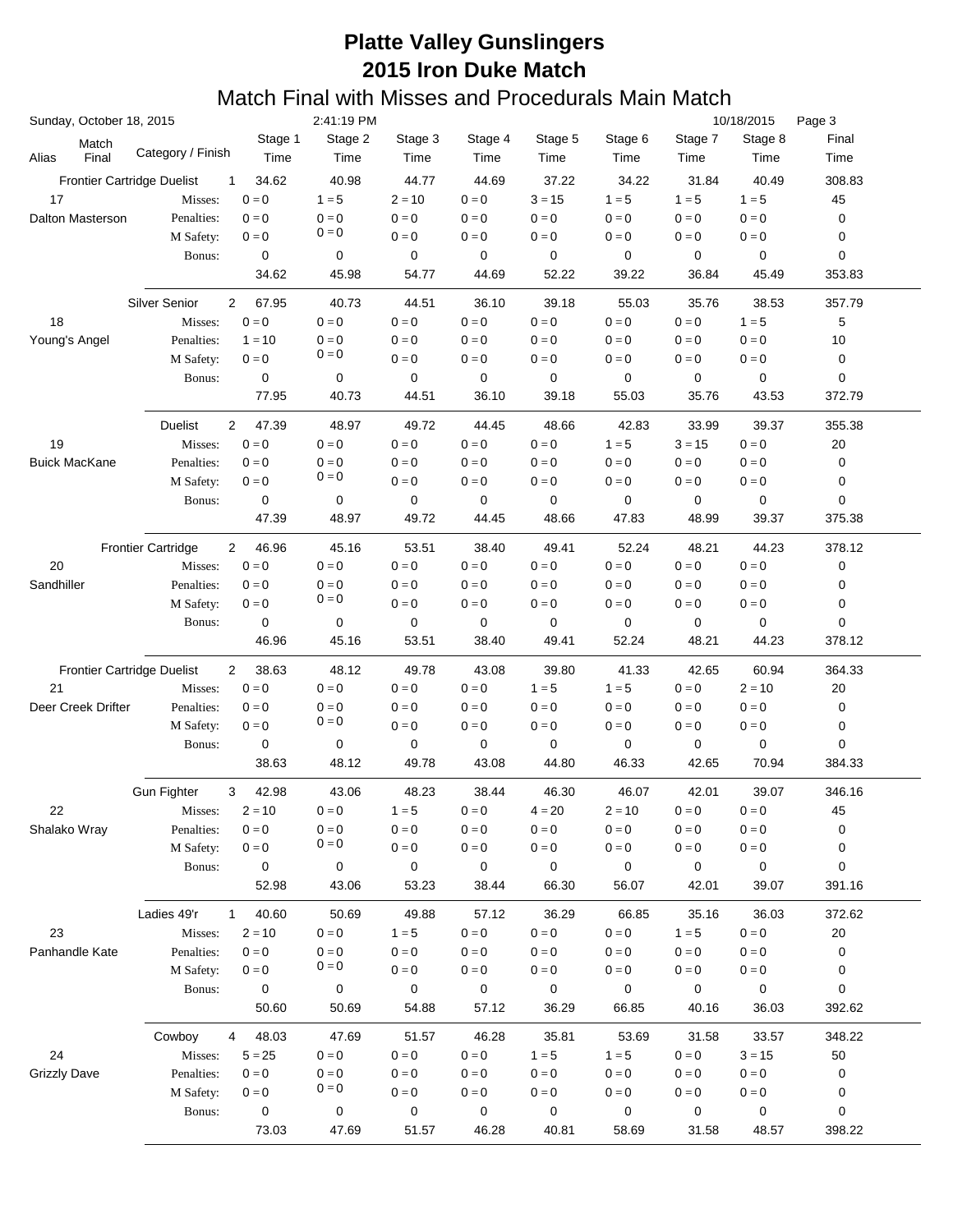| Sunday, October 18, 2015          |                                             |                         | 2:41:19 PM              |                 |                         |                         |                 |                         | 10/18/2015              | Page 3        |
|-----------------------------------|---------------------------------------------|-------------------------|-------------------------|-----------------|-------------------------|-------------------------|-----------------|-------------------------|-------------------------|---------------|
| Match<br>Final<br>Alias           | Category / Finish                           | Stage 1<br>Time         | Stage 2<br>Time         | Stage 3<br>Time | Stage 4<br>Time         | Stage 5<br>Time         | Stage 6<br>Time | Stage 7<br>Time         | Stage 8<br>Time         | Final<br>Time |
| <b>Frontier Cartridge Duelist</b> | 1                                           | 34.62                   | 40.98                   | 44.77           | 44.69                   | 37.22                   | 34.22           | 31.84                   | 40.49                   | 308.83        |
| 17                                | Misses:                                     | $0 = 0$                 | $1 = 5$                 | $2 = 10$        | $0 = 0$                 | $3 = 15$                | $1 = 5$         | $1 = 5$                 | $1 = 5$                 | 45            |
| Dalton Masterson                  | Penalties:                                  | $0 = 0$                 | $0 = 0$                 | $0 = 0$         | $0 = 0$                 | $0 = 0$                 | $0 = 0$         | $0 = 0$                 | $0 = 0$                 | 0             |
|                                   | M Safety:                                   | $0 = 0$                 | $0 = 0$                 | $0 = 0$         | $0 = 0$                 | $0 = 0$                 | $0 = 0$         | $0 = 0$                 | $0 = 0$                 | 0             |
|                                   | Bonus:                                      | 0                       | 0                       | 0               | 0                       | 0                       | 0               | 0                       | 0                       | 0             |
|                                   |                                             | 34.62                   | 45.98                   | 54.77           | 44.69                   | 52.22                   | 39.22           | 36.84                   | 45.49                   | 353.83        |
|                                   |                                             |                         |                         |                 |                         |                         |                 |                         |                         |               |
|                                   | Silver Senior<br>2                          | 67.95<br>$0 = 0$        | 40.73                   | 44.51           | 36.10                   | 39.18                   | 55.03           | 35.76                   | 38.53                   | 357.79        |
| 18                                | Misses:                                     |                         | $0 = 0$                 | $0 = 0$         | $0 = 0$                 | $0 = 0$                 | $0 = 0$         | $0 = 0$                 | $1 = 5$                 | 5             |
| Young's Angel                     | Penalties:                                  | $1 = 10$                | $0 = 0$<br>$0 = 0$      | $0 = 0$         | $0 = 0$                 | $0 = 0$                 | $0 = 0$         | $0 = 0$                 | $0 = 0$                 | 10            |
|                                   | M Safety:                                   | $0 = 0$                 |                         | $0 = 0$         | $0 = 0$                 | $0 = 0$                 | $0 = 0$         | $0 = 0$                 | $0 = 0$                 | 0             |
|                                   | Bonus:                                      | $\mathbf 0$             | $\pmb{0}$               | 0               | $\mathbf 0$             | 0                       | 0               | 0                       | $\mathbf 0$             | 0             |
|                                   |                                             | 77.95                   | 40.73                   | 44.51           | 36.10                   | 39.18                   | 55.03           | 35.76                   | 43.53                   | 372.79        |
|                                   | <b>Duelist</b><br>$\overline{2}$            | 47.39                   | 48.97                   | 49.72           | 44.45                   | 48.66                   | 42.83           | 33.99                   | 39.37                   | 355.38        |
| 19                                | Misses:                                     | $0=0$                   | $0 = 0$                 | $0 = 0$         | $0=0$                   | $0=0$                   | $1 = 5$         | $3 = 15$                | $0 = 0$                 | 20            |
| <b>Buick MacKane</b>              | Penalties:                                  | $0 = 0$                 | $0 = 0$<br>$0 = 0$      | $0 = 0$         | $0 = 0$                 | $0 = 0$                 | $0 = 0$         | $0 = 0$                 | $0 = 0$                 | 0             |
|                                   | M Safety:                                   | $0 = 0$                 |                         | $0=0$           | $0 = 0$                 | $0 = 0$                 | $0 = 0$         | $0 = 0$                 | $0 = 0$                 | 0             |
|                                   | Bonus:                                      | 0                       | 0                       | 0               | 0                       | 0                       | 0               | 0                       | 0                       | 0             |
|                                   |                                             | 47.39                   | 48.97                   | 49.72           | 44.45                   | 48.66                   | 47.83           | 48.99                   | 39.37                   | 375.38        |
|                                   | <b>Frontier Cartridge</b><br>$\overline{2}$ | 46.96                   | 45.16                   | 53.51           | 38.40                   | 49.41                   | 52.24           | 48.21                   | 44.23                   | 378.12        |
| 20                                | Misses:                                     | $0 = 0$                 | $0 = 0$                 | $0 = 0$         | $0=0$                   | $0 = 0$                 | $0 = 0$         | $0 = 0$                 | $0 = 0$                 | 0             |
| Sandhiller                        | Penalties:                                  | $0 = 0$                 | $0 = 0$                 | $0 = 0$         | $0 = 0$                 | $0 = 0$                 | $0 = 0$         | $0 = 0$                 | $0 = 0$                 | 0             |
|                                   | M Safety:                                   | $0 = 0$                 | $0 = 0$                 | $0 = 0$         | $0=0$                   | $0 = 0$                 | $0 = 0$         | $0 = 0$                 | $0 = 0$                 | 0             |
|                                   | Bonus:                                      | 0                       | 0                       | 0               | 0                       | 0                       | 0               | 0                       | 0                       | 0             |
|                                   |                                             | 46.96                   | 45.16                   | 53.51           | 38.40                   | 49.41                   | 52.24           | 48.21                   | 44.23                   | 378.12        |
| <b>Frontier Cartridge Duelist</b> | 2                                           | 38.63                   | 48.12                   | 49.78           | 43.08                   | 39.80                   | 41.33           | 42.65                   | 60.94                   | 364.33        |
| 21                                | Misses:                                     | $0 = 0$                 | $0 = 0$                 | $0 = 0$         | $0 = 0$                 | $1 = 5$                 | $1 = 5$         | $0 = 0$                 | $2 = 10$                | 20            |
| Deer Creek Drifter                | Penalties:                                  | $0 = 0$                 | $0 = 0$                 | $0 = 0$         | $0 = 0$                 | $0 = 0$                 | $0 = 0$         | $0 = 0$                 | $0 = 0$                 | 0             |
|                                   | M Safety:                                   | $0 = 0$                 | $0 = 0$                 | $0=0$           | $0 = 0$                 | $0 = 0$                 | $0 = 0$         | $0 = 0$                 | $0 = 0$                 | 0             |
|                                   | Bonus:                                      | 0                       | 0                       | 0               | 0                       | 0                       | 0               | 0                       | 0                       | 0             |
|                                   |                                             | 38.63                   | 48.12                   | 49.78           | 43.08                   | 44.80                   | 46.33           | 42.65                   | 70.94                   | 384.33        |
|                                   | <b>Gun Fighter</b><br>3                     | 42.98                   | 43.06                   | 48.23           | 38.44                   | 46.30                   | 46.07           | 42.01                   | 39.07                   | 346.16        |
| 22                                | Misses:                                     | $2 = 10$                | $\mathbf{0}=\mathbf{0}$ | $1 = 5$         | $0 = 0$                 | $4 = 20$                | $2 = 10$        | $\mathbf{0}=\mathbf{0}$ | $0 = 0$                 | 45            |
| Shalako Wray                      | Penalties:                                  | $0 = 0$                 | $0 = 0$                 | $0 = 0$         | $0 = 0$                 | $0 = 0$                 | $0 = 0$         | $0 = 0$                 | $0 = 0$                 | 0             |
|                                   | M Safety:                                   | $0 = 0$                 | $0 = 0$                 | $0 = 0$         | $0 = 0$                 | $0 = 0$                 | $0 = 0$         | $0 = 0$                 | $\mathbf{0}=\mathbf{0}$ | 0             |
|                                   | Bonus:                                      | 0                       | 0                       | 0               | 0                       | 0                       | 0               | 0                       | 0                       | 0             |
|                                   |                                             | 52.98                   | 43.06                   | 53.23           | 38.44                   | 66.30                   | 56.07           | 42.01                   | 39.07                   | 391.16        |
|                                   | Ladies 49'r<br>$\mathbf{1}$                 | 40.60                   | 50.69                   | 49.88           | 57.12                   | 36.29                   | 66.85           | 35.16                   | 36.03                   | 372.62        |
| 23                                | Misses:                                     | $2 = 10$                | $\mathbf{0}=\mathbf{0}$ | $1 = 5$         | $\mathbf{0}=\mathbf{0}$ | $\mathbf{0}=\mathbf{0}$ | $0 = 0$         | $1 = 5$                 | $0 = 0$                 | 20            |
| Panhandle Kate                    | Penalties:                                  | $0 = 0$                 | $0 = 0$                 | $0 = 0$         | $0 = 0$                 | $0 = 0$                 | $0 = 0$         | $0 = 0$                 | $0 = 0$                 | 0             |
|                                   | M Safety:                                   | $\mathbf{0}=\mathbf{0}$ | $0 = 0$                 | $0 = 0$         | $0 = 0$                 | $\mathbf{0}=\mathbf{0}$ | $0 = 0$         | $0 = 0$                 | $0 = 0$                 | 0             |
|                                   | Bonus:                                      | 0                       | 0                       | 0               | 0                       | 0                       | 0               | 0                       | 0                       | 0             |
|                                   |                                             | 50.60                   | 50.69                   | 54.88           | 57.12                   | 36.29                   | 66.85           | 40.16                   | 36.03                   | 392.62        |
|                                   | Cowboy<br>4                                 | 48.03                   | 47.69                   | 51.57           | 46.28                   | 35.81                   | 53.69           | 31.58                   | 33.57                   | 348.22        |
| 24                                | Misses:                                     | $5 = 25$                | $\mathbf{0}=\mathbf{0}$ | $0 = 0$         | $0 = 0$                 | $1 = 5$                 | $1 = 5$         | $0 = 0$                 | $3 = 15$                | 50            |
| <b>Grizzly Dave</b>               | Penalties:                                  | $0 = 0$                 | $0 = 0$                 | $0 = 0$         | $0 = 0$                 | $0 = 0$                 | $0 = 0$         | $0 = 0$                 | $0 = 0$                 | 0             |
|                                   | M Safety:                                   | $0 = 0$                 | $0 = 0$                 | $0 = 0$         | $0 = 0$                 | $0 = 0$                 | $0 = 0$         | $0 = 0$                 | $\mathbf{0}=\mathbf{0}$ | 0             |
|                                   | Bonus:                                      | 0                       | 0                       | 0               | 0                       | 0                       | 0               | 0                       | 0                       | 0             |
|                                   |                                             | 73.03                   | 47.69                   | 51.57           | 46.28                   | 40.81                   | 58.69           | 31.58                   | 48.57                   | 398.22        |